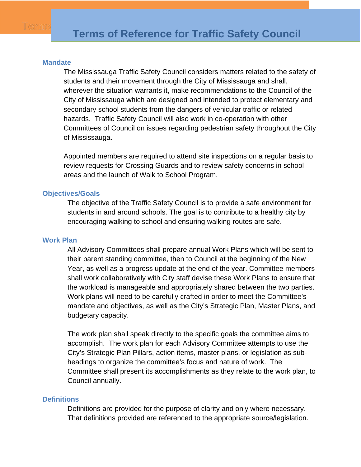#### **Mandate**

The Mississauga Traffic Safety Council considers matters related to the safety of students and their movement through the City of Mississauga and shall, wherever the situation warrants it, make recommendations to the Council of the City of Mississauga which are designed and intended to protect elementary and secondary school students from the dangers of vehicular traffic or related hazards. Traffic Safety Council will also work in co-operation with other Committees of Council on issues regarding pedestrian safety throughout the City of Mississauga.

Appointed members are required to attend site inspections on a regular basis to review requests for Crossing Guards and to review safety concerns in school areas and the launch of Walk to School Program.

## **Objectives/Goals**

The objective of the Traffic Safety Council is to provide a safe environment for students in and around schools. The goal is to contribute to a healthy city by encouraging walking to school and ensuring walking routes are safe.

#### **Work Plan**

All Advisory Committees shall prepare annual Work Plans which will be sent to their parent standing committee, then to Council at the beginning of the New Year, as well as a progress update at the end of the year. Committee members shall work collaboratively with City staff devise these Work Plans to ensure that the workload is manageable and appropriately shared between the two parties. Work plans will need to be carefully crafted in order to meet the Committee's mandate and objectives, as well as the City's Strategic Plan, Master Plans, and budgetary capacity.

The work plan shall speak directly to the specific goals the committee aims to accomplish. The work plan for each Advisory Committee attempts to use the City's Strategic Plan Pillars, action items, master plans, or legislation as subheadings to organize the committee's focus and nature of work. The Committee shall present its accomplishments as they relate to the work plan, to Council annually.

#### **Definitions**

Definitions are provided for the purpose of clarity and only where necessary. That definitions provided are referenced to the appropriate source/legislation.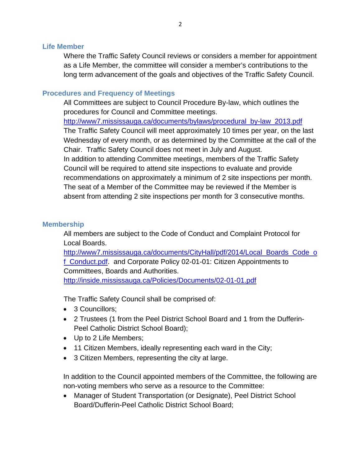## **Life Member**

Where the Traffic Safety Council reviews or considers a member for appointment as a Life Member, the committee will consider a member's contributions to the long term advancement of the goals and objectives of the Traffic Safety Council.

## **Procedures and Frequency of Meetings**

All Committees are subject to Council Procedure By-law, which outlines the procedures for Council and Committee meetings. [http://www7.mississauga.ca/documents/bylaws/procedural\\_by-law\\_2013.pdf](http://www7.mississauga.ca/documents/bylaws/procedural_by-law_2013.pdf) The Traffic Safety Council will meet approximately 10 times per year, on the last Wednesday of every month, or as determined by the Committee at the call of the Chair. Traffic Safety Council does not meet in July and August. In addition to attending Committee meetings, members of the Traffic Safety Council will be required to attend site inspections to evaluate and provide recommendations on approximately a minimum of 2 site inspections per month. The seat of a Member of the Committee may be reviewed if the Member is absent from attending 2 site inspections per month for 3 consecutive months.

## **Membership**

All members are subject to the Code of Conduct and Complaint Protocol for Local Boards.

[http://www7.mississauga.ca/documents/CityHall/pdf/2014/Local\\_Boards\\_Code\\_o](http://www7.mississauga.ca/documents/CityHall/pdf/2014/Local_Boards_Code_of_Conduct.pdf) f. Conduct.pdf. and Corporate Policy 02-01-01: Citizen Appointments to Committees, Boards and Authorities. <http://inside.mississauga.ca/Policies/Documents/02-01-01.pdf>

The Traffic Safety Council shall be comprised of:

- 3 Councillors:
- 2 Trustees (1 from the Peel District School Board and 1 from the Dufferin-Peel Catholic District School Board);
- Up to 2 Life Members;
- 11 Citizen Members, ideally representing each ward in the City;
- 3 Citizen Members, representing the city at large.

In addition to the Council appointed members of the Committee, the following are non-voting members who serve as a resource to the Committee:

• Manager of Student Transportation (or Designate), Peel District School Board/Dufferin-Peel Catholic District School Board;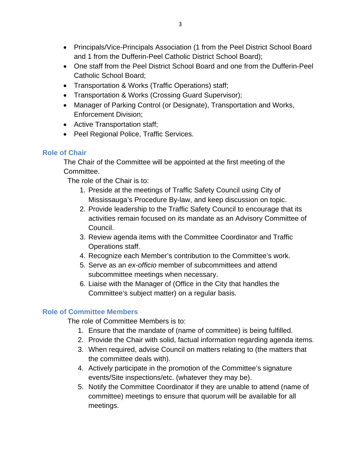- Principals/Vice-Principals Association (1 from the Peel District School Board and 1 from the Dufferin-Peel Catholic District School Board);
- One staff from the Peel District School Board and one from the Dufferin-Peel Catholic School Board;
- Transportation & Works (Traffic Operations) staff;
- Transportation & Works (Crossing Guard Supervisor);
- Manager of Parking Control (or Designate), Transportation and Works, Enforcement Division;
- Active Transportation staff;
- Peel Regional Police, Traffic Services.

# **Role of Chair**

The Chair of the Committee will be appointed at the first meeting of the Committee.

The role of the Chair is to:

- 1. Preside at the meetings of Traffic Safety Council using City of Mississauga's Procedure By-law, and keep discussion on topic.
- 2. Provide leadership to the Traffic Safety Council to encourage that its activities remain focused on its mandate as an Advisory Committee of Council.
- 3. Review agenda items with the Committee Coordinator and Traffic Operations staff.
- 4. Recognize each Member's contribution to the Committee's work.
- 5. Serve as an *ex-officio* member of subcommittees and attend subcommittee meetings when necessary.
- 6. Liaise with the Manager of (Office in the City that handles the Committee's subject matter) on a regular basis.

## **Role of Committee Members**

The role of Committee Members is to:

- 1. Ensure that the mandate of (name of committee) is being fulfilled.
- 2. Provide the Chair with solid, factual information regarding agenda items.
- 3. When required, advise Council on matters relating to (the matters that the committee deals with).
- 4. Actively participate in the promotion of the Committee's signature events/Site inspections/etc. (whatever they may be).
- 5. Notify the Committee Coordinator if they are unable to attend (name of committee) meetings to ensure that quorum will be available for all meetings.